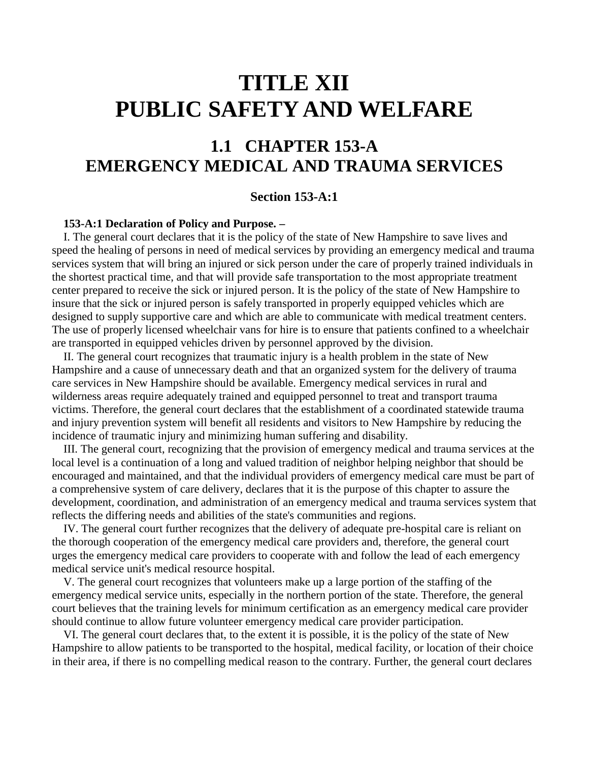# **TITLE XII PUBLIC SAFETY AND WELFARE**

## **1.1 CHAPTER 153-A EMERGENCY MEDICAL AND TRAUMA SERVICES**

## **Section 153-A:1**

#### **153-A:1 Declaration of Policy and Purpose. –**

 I. The general court declares that it is the policy of the state of New Hampshire to save lives and speed the healing of persons in need of medical services by providing an emergency medical and trauma services system that will bring an injured or sick person under the care of properly trained individuals in the shortest practical time, and that will provide safe transportation to the most appropriate treatment center prepared to receive the sick or injured person. It is the policy of the state of New Hampshire to insure that the sick or injured person is safely transported in properly equipped vehicles which are designed to supply supportive care and which are able to communicate with medical treatment centers. The use of properly licensed wheelchair vans for hire is to ensure that patients confined to a wheelchair are transported in equipped vehicles driven by personnel approved by the division.

 II. The general court recognizes that traumatic injury is a health problem in the state of New Hampshire and a cause of unnecessary death and that an organized system for the delivery of trauma care services in New Hampshire should be available. Emergency medical services in rural and wilderness areas require adequately trained and equipped personnel to treat and transport trauma victims. Therefore, the general court declares that the establishment of a coordinated statewide trauma and injury prevention system will benefit all residents and visitors to New Hampshire by reducing the incidence of traumatic injury and minimizing human suffering and disability.

 III. The general court, recognizing that the provision of emergency medical and trauma services at the local level is a continuation of a long and valued tradition of neighbor helping neighbor that should be encouraged and maintained, and that the individual providers of emergency medical care must be part of a comprehensive system of care delivery, declares that it is the purpose of this chapter to assure the development, coordination, and administration of an emergency medical and trauma services system that reflects the differing needs and abilities of the state's communities and regions.

 IV. The general court further recognizes that the delivery of adequate pre-hospital care is reliant on the thorough cooperation of the emergency medical care providers and, therefore, the general court urges the emergency medical care providers to cooperate with and follow the lead of each emergency medical service unit's medical resource hospital.

 V. The general court recognizes that volunteers make up a large portion of the staffing of the emergency medical service units, especially in the northern portion of the state. Therefore, the general court believes that the training levels for minimum certification as an emergency medical care provider should continue to allow future volunteer emergency medical care provider participation.

 VI. The general court declares that, to the extent it is possible, it is the policy of the state of New Hampshire to allow patients to be transported to the hospital, medical facility, or location of their choice in their area, if there is no compelling medical reason to the contrary. Further, the general court declares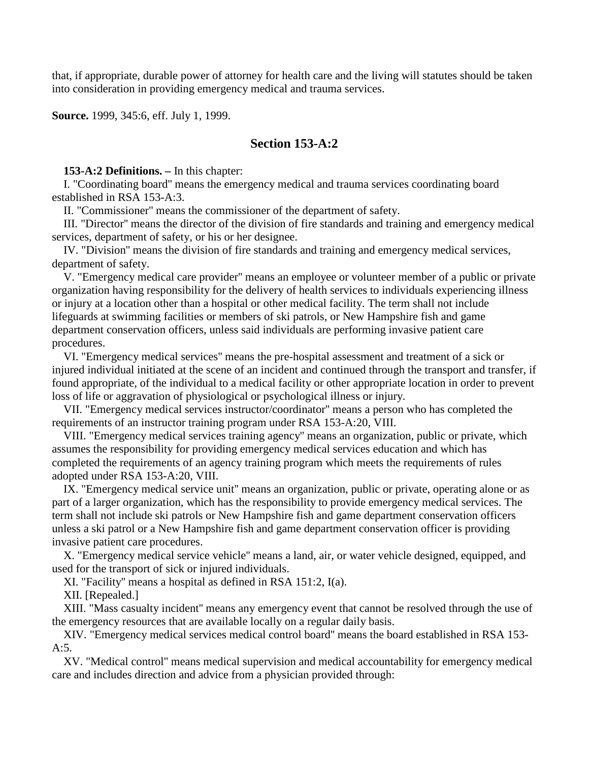that, if appropriate, durable power of attorney for health care and the living will statutes should be taken into consideration in providing emergency medical and trauma services.

**Source.** 1999, 345:6, eff. July 1, 1999.

## **Section 153-A:2**

**153-A:2 Definitions. –** In this chapter:

 I. "Coordinating board'' means the emergency medical and trauma services coordinating board established in RSA 153-A:3.

II. "Commissioner'' means the commissioner of the department of safety.

 III. "Director'' means the director of the division of fire standards and training and emergency medical services, department of safety, or his or her designee.

 IV. "Division'' means the division of fire standards and training and emergency medical services, department of safety.

 V. "Emergency medical care provider'' means an employee or volunteer member of a public or private organization having responsibility for the delivery of health services to individuals experiencing illness or injury at a location other than a hospital or other medical facility. The term shall not include lifeguards at swimming facilities or members of ski patrols, or New Hampshire fish and game department conservation officers, unless said individuals are performing invasive patient care procedures.

 VI. "Emergency medical services'' means the pre-hospital assessment and treatment of a sick or injured individual initiated at the scene of an incident and continued through the transport and transfer, if found appropriate, of the individual to a medical facility or other appropriate location in order to prevent loss of life or aggravation of physiological or psychological illness or injury.

 VII. "Emergency medical services instructor/coordinator'' means a person who has completed the requirements of an instructor training program under RSA 153-A:20, VIII.

 VIII. "Emergency medical services training agency'' means an organization, public or private, which assumes the responsibility for providing emergency medical services education and which has completed the requirements of an agency training program which meets the requirements of rules adopted under RSA 153-A:20, VIII.

 IX. "Emergency medical service unit'' means an organization, public or private, operating alone or as part of a larger organization, which has the responsibility to provide emergency medical services. The term shall not include ski patrols or New Hampshire fish and game department conservation officers unless a ski patrol or a New Hampshire fish and game department conservation officer is providing invasive patient care procedures.

 X. "Emergency medical service vehicle'' means a land, air, or water vehicle designed, equipped, and used for the transport of sick or injured individuals.

XI. "Facility'' means a hospital as defined in RSA 151:2, I(a).

XII. [Repealed.]

 XIII. "Mass casualty incident'' means any emergency event that cannot be resolved through the use of the emergency resources that are available locally on a regular daily basis.

 XIV. "Emergency medical services medical control board'' means the board established in RSA 153- A:5.

 XV. "Medical control'' means medical supervision and medical accountability for emergency medical care and includes direction and advice from a physician provided through: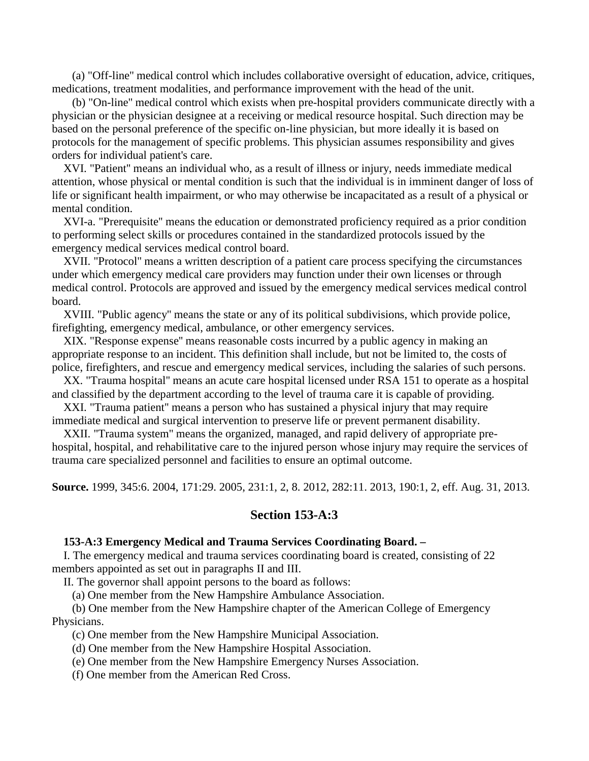(a) "Off-line'' medical control which includes collaborative oversight of education, advice, critiques, medications, treatment modalities, and performance improvement with the head of the unit.

 (b) "On-line'' medical control which exists when pre-hospital providers communicate directly with a physician or the physician designee at a receiving or medical resource hospital. Such direction may be based on the personal preference of the specific on-line physician, but more ideally it is based on protocols for the management of specific problems. This physician assumes responsibility and gives orders for individual patient's care.

 XVI. "Patient'' means an individual who, as a result of illness or injury, needs immediate medical attention, whose physical or mental condition is such that the individual is in imminent danger of loss of life or significant health impairment, or who may otherwise be incapacitated as a result of a physical or mental condition.

 XVI-a. "Prerequisite'' means the education or demonstrated proficiency required as a prior condition to performing select skills or procedures contained in the standardized protocols issued by the emergency medical services medical control board.

 XVII. "Protocol'' means a written description of a patient care process specifying the circumstances under which emergency medical care providers may function under their own licenses or through medical control. Protocols are approved and issued by the emergency medical services medical control board.

 XVIII. "Public agency'' means the state or any of its political subdivisions, which provide police, firefighting, emergency medical, ambulance, or other emergency services.

 XIX. "Response expense'' means reasonable costs incurred by a public agency in making an appropriate response to an incident. This definition shall include, but not be limited to, the costs of police, firefighters, and rescue and emergency medical services, including the salaries of such persons.

 XX. "Trauma hospital'' means an acute care hospital licensed under RSA 151 to operate as a hospital and classified by the department according to the level of trauma care it is capable of providing.

 XXI. "Trauma patient'' means a person who has sustained a physical injury that may require immediate medical and surgical intervention to preserve life or prevent permanent disability.

 XXII. "Trauma system'' means the organized, managed, and rapid delivery of appropriate prehospital, hospital, and rehabilitative care to the injured person whose injury may require the services of trauma care specialized personnel and facilities to ensure an optimal outcome.

**Source.** 1999, 345:6. 2004, 171:29. 2005, 231:1, 2, 8. 2012, 282:11. 2013, 190:1, 2, eff. Aug. 31, 2013.

## **Section 153-A:3**

#### **153-A:3 Emergency Medical and Trauma Services Coordinating Board. –**

 I. The emergency medical and trauma services coordinating board is created, consisting of 22 members appointed as set out in paragraphs II and III.

II. The governor shall appoint persons to the board as follows:

(a) One member from the New Hampshire Ambulance Association.

 (b) One member from the New Hampshire chapter of the American College of Emergency Physicians.

(c) One member from the New Hampshire Municipal Association.

(d) One member from the New Hampshire Hospital Association.

(e) One member from the New Hampshire Emergency Nurses Association.

(f) One member from the American Red Cross.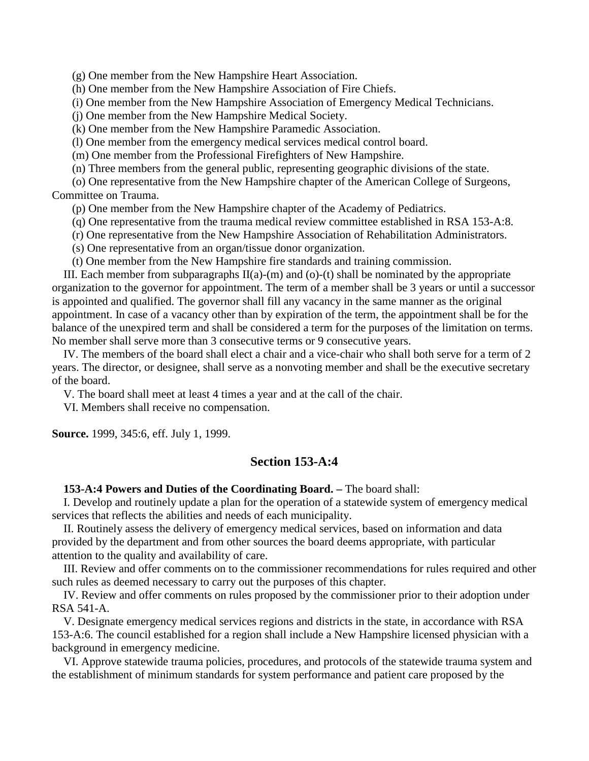(g) One member from the New Hampshire Heart Association.

(h) One member from the New Hampshire Association of Fire Chiefs.

(i) One member from the New Hampshire Association of Emergency Medical Technicians.

(j) One member from the New Hampshire Medical Society.

(k) One member from the New Hampshire Paramedic Association.

(l) One member from the emergency medical services medical control board.

(m) One member from the Professional Firefighters of New Hampshire.

(n) Three members from the general public, representing geographic divisions of the state.

 (o) One representative from the New Hampshire chapter of the American College of Surgeons, Committee on Trauma.

(p) One member from the New Hampshire chapter of the Academy of Pediatrics.

(q) One representative from the trauma medical review committee established in RSA 153-A:8.

(r) One representative from the New Hampshire Association of Rehabilitation Administrators.

(s) One representative from an organ/tissue donor organization.

(t) One member from the New Hampshire fire standards and training commission.

III. Each member from subparagraphs  $II(a)-(m)$  and  $(o)-(t)$  shall be nominated by the appropriate organization to the governor for appointment. The term of a member shall be 3 years or until a successor is appointed and qualified. The governor shall fill any vacancy in the same manner as the original appointment. In case of a vacancy other than by expiration of the term, the appointment shall be for the balance of the unexpired term and shall be considered a term for the purposes of the limitation on terms. No member shall serve more than 3 consecutive terms or 9 consecutive years.

 IV. The members of the board shall elect a chair and a vice-chair who shall both serve for a term of 2 years. The director, or designee, shall serve as a nonvoting member and shall be the executive secretary of the board.

V. The board shall meet at least 4 times a year and at the call of the chair.

VI. Members shall receive no compensation.

**Source.** 1999, 345:6, eff. July 1, 1999.

## **Section 153-A:4**

**153-A:4 Powers and Duties of the Coordinating Board. –** The board shall:

 I. Develop and routinely update a plan for the operation of a statewide system of emergency medical services that reflects the abilities and needs of each municipality.

 II. Routinely assess the delivery of emergency medical services, based on information and data provided by the department and from other sources the board deems appropriate, with particular attention to the quality and availability of care.

 III. Review and offer comments on to the commissioner recommendations for rules required and other such rules as deemed necessary to carry out the purposes of this chapter.

 IV. Review and offer comments on rules proposed by the commissioner prior to their adoption under RSA 541-A.

 V. Designate emergency medical services regions and districts in the state, in accordance with RSA 153-A:6. The council established for a region shall include a New Hampshire licensed physician with a background in emergency medicine.

 VI. Approve statewide trauma policies, procedures, and protocols of the statewide trauma system and the establishment of minimum standards for system performance and patient care proposed by the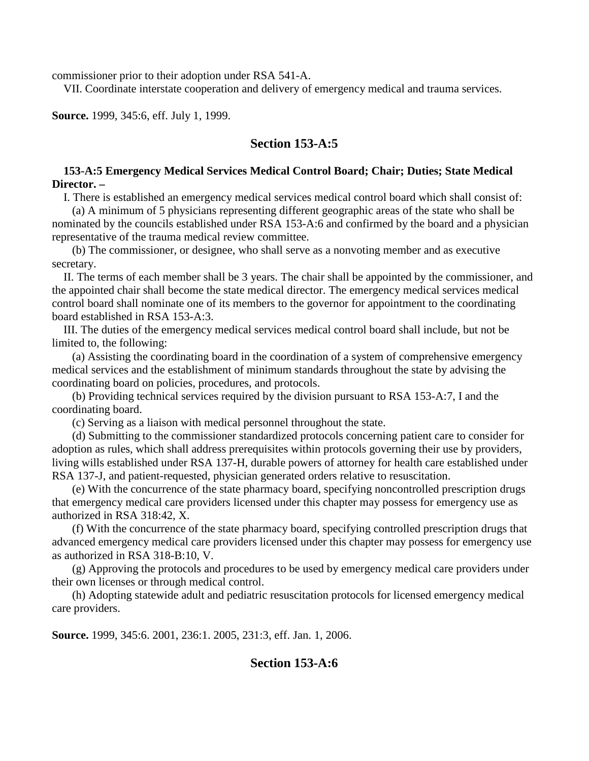commissioner prior to their adoption under RSA 541-A.

VII. Coordinate interstate cooperation and delivery of emergency medical and trauma services.

**Source.** 1999, 345:6, eff. July 1, 1999.

## **Section 153-A:5**

## **153-A:5 Emergency Medical Services Medical Control Board; Chair; Duties; State Medical Director. –**

I. There is established an emergency medical services medical control board which shall consist of:

 (a) A minimum of 5 physicians representing different geographic areas of the state who shall be nominated by the councils established under RSA 153-A:6 and confirmed by the board and a physician representative of the trauma medical review committee.

 (b) The commissioner, or designee, who shall serve as a nonvoting member and as executive secretary.

 II. The terms of each member shall be 3 years. The chair shall be appointed by the commissioner, and the appointed chair shall become the state medical director. The emergency medical services medical control board shall nominate one of its members to the governor for appointment to the coordinating board established in RSA 153-A:3.

 III. The duties of the emergency medical services medical control board shall include, but not be limited to, the following:

 (a) Assisting the coordinating board in the coordination of a system of comprehensive emergency medical services and the establishment of minimum standards throughout the state by advising the coordinating board on policies, procedures, and protocols.

 (b) Providing technical services required by the division pursuant to RSA 153-A:7, I and the coordinating board.

(c) Serving as a liaison with medical personnel throughout the state.

 (d) Submitting to the commissioner standardized protocols concerning patient care to consider for adoption as rules, which shall address prerequisites within protocols governing their use by providers, living wills established under RSA 137-H, durable powers of attorney for health care established under RSA 137-J, and patient-requested, physician generated orders relative to resuscitation.

 (e) With the concurrence of the state pharmacy board, specifying noncontrolled prescription drugs that emergency medical care providers licensed under this chapter may possess for emergency use as authorized in RSA 318:42, X.

 (f) With the concurrence of the state pharmacy board, specifying controlled prescription drugs that advanced emergency medical care providers licensed under this chapter may possess for emergency use as authorized in RSA 318-B:10, V.

 (g) Approving the protocols and procedures to be used by emergency medical care providers under their own licenses or through medical control.

 (h) Adopting statewide adult and pediatric resuscitation protocols for licensed emergency medical care providers.

**Source.** 1999, 345:6. 2001, 236:1. 2005, 231:3, eff. Jan. 1, 2006.

## **Section 153-A:6**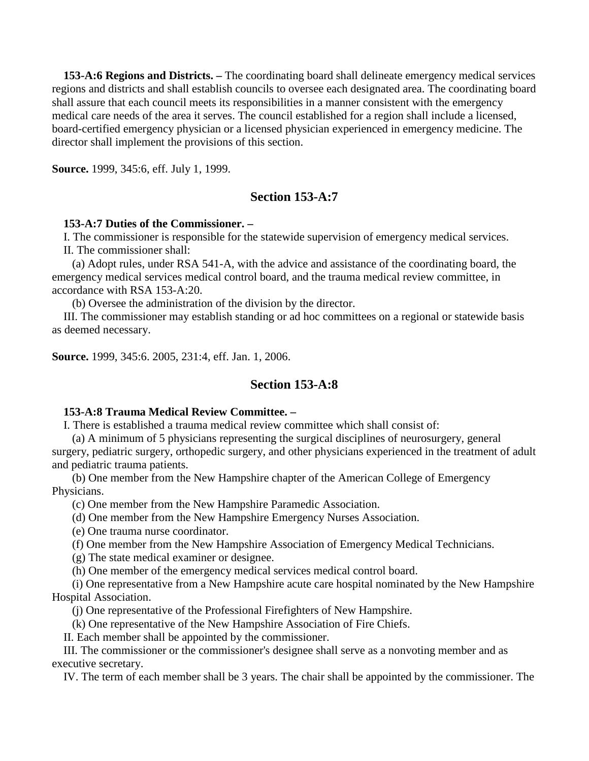**153-A:6 Regions and Districts. –** The coordinating board shall delineate emergency medical services regions and districts and shall establish councils to oversee each designated area. The coordinating board shall assure that each council meets its responsibilities in a manner consistent with the emergency medical care needs of the area it serves. The council established for a region shall include a licensed, board-certified emergency physician or a licensed physician experienced in emergency medicine. The director shall implement the provisions of this section.

**Source.** 1999, 345:6, eff. July 1, 1999.

## **Section 153-A:7**

## **153-A:7 Duties of the Commissioner. –**

I. The commissioner is responsible for the statewide supervision of emergency medical services.

II. The commissioner shall:

 (a) Adopt rules, under RSA 541-A, with the advice and assistance of the coordinating board, the emergency medical services medical control board, and the trauma medical review committee, in accordance with RSA 153-A:20.

(b) Oversee the administration of the division by the director.

 III. The commissioner may establish standing or ad hoc committees on a regional or statewide basis as deemed necessary.

**Source.** 1999, 345:6. 2005, 231:4, eff. Jan. 1, 2006.

## **Section 153-A:8**

## **153-A:8 Trauma Medical Review Committee. –**

I. There is established a trauma medical review committee which shall consist of:

 (a) A minimum of 5 physicians representing the surgical disciplines of neurosurgery, general surgery, pediatric surgery, orthopedic surgery, and other physicians experienced in the treatment of adult and pediatric trauma patients.

 (b) One member from the New Hampshire chapter of the American College of Emergency Physicians.

(c) One member from the New Hampshire Paramedic Association.

(d) One member from the New Hampshire Emergency Nurses Association.

(e) One trauma nurse coordinator.

(f) One member from the New Hampshire Association of Emergency Medical Technicians.

(g) The state medical examiner or designee.

(h) One member of the emergency medical services medical control board.

 (i) One representative from a New Hampshire acute care hospital nominated by the New Hampshire Hospital Association.

(j) One representative of the Professional Firefighters of New Hampshire.

(k) One representative of the New Hampshire Association of Fire Chiefs.

II. Each member shall be appointed by the commissioner.

 III. The commissioner or the commissioner's designee shall serve as a nonvoting member and as executive secretary.

IV. The term of each member shall be 3 years. The chair shall be appointed by the commissioner. The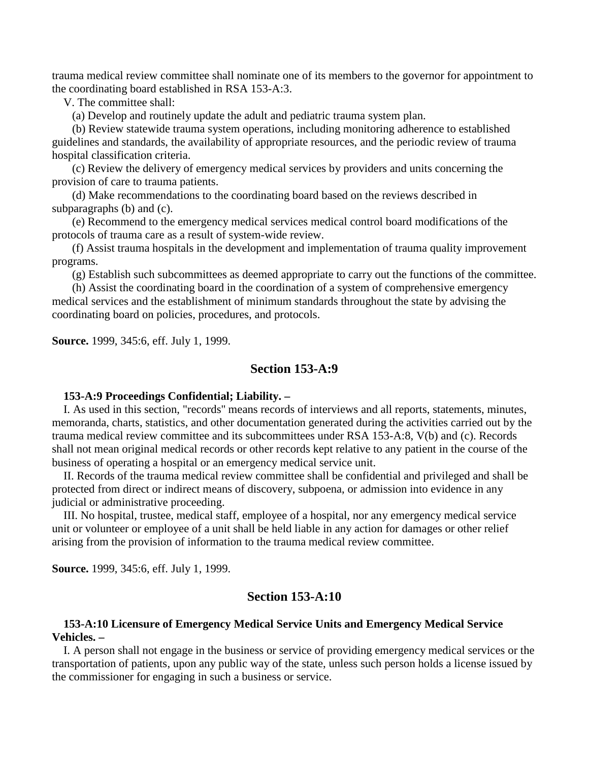trauma medical review committee shall nominate one of its members to the governor for appointment to the coordinating board established in RSA 153-A:3.

V. The committee shall:

(a) Develop and routinely update the adult and pediatric trauma system plan.

 (b) Review statewide trauma system operations, including monitoring adherence to established guidelines and standards, the availability of appropriate resources, and the periodic review of trauma hospital classification criteria.

 (c) Review the delivery of emergency medical services by providers and units concerning the provision of care to trauma patients.

 (d) Make recommendations to the coordinating board based on the reviews described in subparagraphs (b) and (c).

 (e) Recommend to the emergency medical services medical control board modifications of the protocols of trauma care as a result of system-wide review.

 (f) Assist trauma hospitals in the development and implementation of trauma quality improvement programs.

(g) Establish such subcommittees as deemed appropriate to carry out the functions of the committee.

 (h) Assist the coordinating board in the coordination of a system of comprehensive emergency medical services and the establishment of minimum standards throughout the state by advising the coordinating board on policies, procedures, and protocols.

**Source.** 1999, 345:6, eff. July 1, 1999.

### **Section 153-A:9**

#### **153-A:9 Proceedings Confidential; Liability. –**

 I. As used in this section, "records'' means records of interviews and all reports, statements, minutes, memoranda, charts, statistics, and other documentation generated during the activities carried out by the trauma medical review committee and its subcommittees under RSA 153-A:8, V(b) and (c). Records shall not mean original medical records or other records kept relative to any patient in the course of the business of operating a hospital or an emergency medical service unit.

 II. Records of the trauma medical review committee shall be confidential and privileged and shall be protected from direct or indirect means of discovery, subpoena, or admission into evidence in any judicial or administrative proceeding.

 III. No hospital, trustee, medical staff, employee of a hospital, nor any emergency medical service unit or volunteer or employee of a unit shall be held liable in any action for damages or other relief arising from the provision of information to the trauma medical review committee.

**Source.** 1999, 345:6, eff. July 1, 1999.

## **Section 153-A:10**

## **153-A:10 Licensure of Emergency Medical Service Units and Emergency Medical Service Vehicles. –**

 I. A person shall not engage in the business or service of providing emergency medical services or the transportation of patients, upon any public way of the state, unless such person holds a license issued by the commissioner for engaging in such a business or service.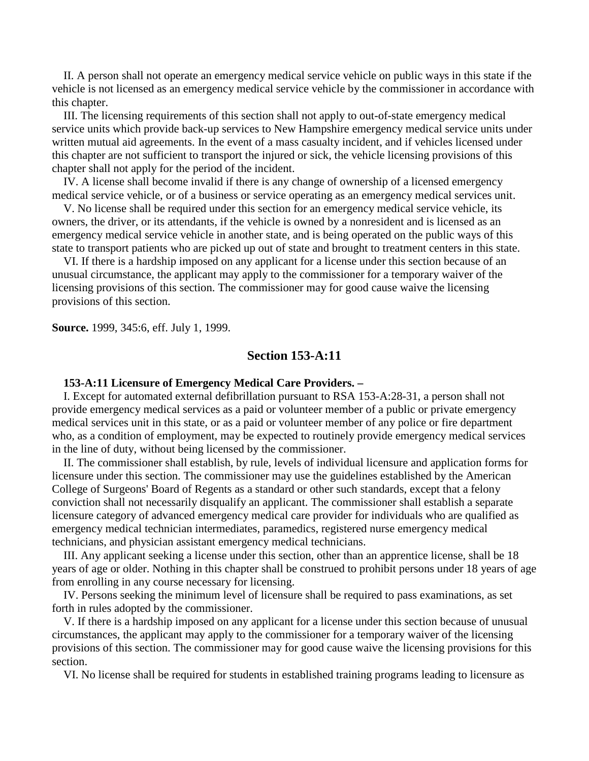II. A person shall not operate an emergency medical service vehicle on public ways in this state if the vehicle is not licensed as an emergency medical service vehicle by the commissioner in accordance with this chapter.

 III. The licensing requirements of this section shall not apply to out-of-state emergency medical service units which provide back-up services to New Hampshire emergency medical service units under written mutual aid agreements. In the event of a mass casualty incident, and if vehicles licensed under this chapter are not sufficient to transport the injured or sick, the vehicle licensing provisions of this chapter shall not apply for the period of the incident.

 IV. A license shall become invalid if there is any change of ownership of a licensed emergency medical service vehicle, or of a business or service operating as an emergency medical services unit.

 V. No license shall be required under this section for an emergency medical service vehicle, its owners, the driver, or its attendants, if the vehicle is owned by a nonresident and is licensed as an emergency medical service vehicle in another state, and is being operated on the public ways of this state to transport patients who are picked up out of state and brought to treatment centers in this state.

 VI. If there is a hardship imposed on any applicant for a license under this section because of an unusual circumstance, the applicant may apply to the commissioner for a temporary waiver of the licensing provisions of this section. The commissioner may for good cause waive the licensing provisions of this section.

**Source.** 1999, 345:6, eff. July 1, 1999.

## **Section 153-A:11**

#### **153-A:11 Licensure of Emergency Medical Care Providers. –**

 I. Except for automated external defibrillation pursuant to RSA 153-A:28-31, a person shall not provide emergency medical services as a paid or volunteer member of a public or private emergency medical services unit in this state, or as a paid or volunteer member of any police or fire department who, as a condition of employment, may be expected to routinely provide emergency medical services in the line of duty, without being licensed by the commissioner.

 II. The commissioner shall establish, by rule, levels of individual licensure and application forms for licensure under this section. The commissioner may use the guidelines established by the American College of Surgeons' Board of Regents as a standard or other such standards, except that a felony conviction shall not necessarily disqualify an applicant. The commissioner shall establish a separate licensure category of advanced emergency medical care provider for individuals who are qualified as emergency medical technician intermediates, paramedics, registered nurse emergency medical technicians, and physician assistant emergency medical technicians.

 III. Any applicant seeking a license under this section, other than an apprentice license, shall be 18 years of age or older. Nothing in this chapter shall be construed to prohibit persons under 18 years of age from enrolling in any course necessary for licensing.

 IV. Persons seeking the minimum level of licensure shall be required to pass examinations, as set forth in rules adopted by the commissioner.

 V. If there is a hardship imposed on any applicant for a license under this section because of unusual circumstances, the applicant may apply to the commissioner for a temporary waiver of the licensing provisions of this section. The commissioner may for good cause waive the licensing provisions for this section.

VI. No license shall be required for students in established training programs leading to licensure as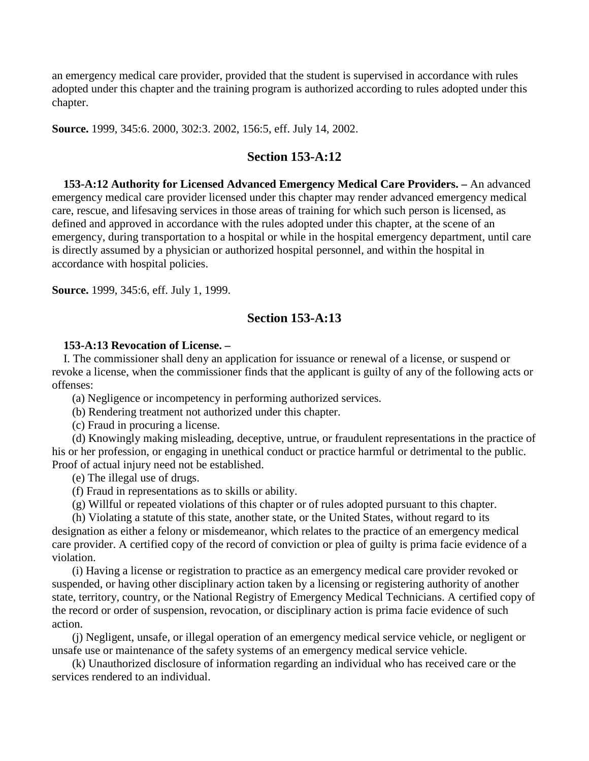an emergency medical care provider, provided that the student is supervised in accordance with rules adopted under this chapter and the training program is authorized according to rules adopted under this chapter.

**Source.** 1999, 345:6. 2000, 302:3. 2002, 156:5, eff. July 14, 2002.

## **Section 153-A:12**

 **153-A:12 Authority for Licensed Advanced Emergency Medical Care Providers. –** An advanced emergency medical care provider licensed under this chapter may render advanced emergency medical care, rescue, and lifesaving services in those areas of training for which such person is licensed, as defined and approved in accordance with the rules adopted under this chapter, at the scene of an emergency, during transportation to a hospital or while in the hospital emergency department, until care is directly assumed by a physician or authorized hospital personnel, and within the hospital in accordance with hospital policies.

**Source.** 1999, 345:6, eff. July 1, 1999.

## **Section 153-A:13**

#### **153-A:13 Revocation of License. –**

 I. The commissioner shall deny an application for issuance or renewal of a license, or suspend or revoke a license, when the commissioner finds that the applicant is guilty of any of the following acts or offenses:

(a) Negligence or incompetency in performing authorized services.

(b) Rendering treatment not authorized under this chapter.

(c) Fraud in procuring a license.

 (d) Knowingly making misleading, deceptive, untrue, or fraudulent representations in the practice of his or her profession, or engaging in unethical conduct or practice harmful or detrimental to the public. Proof of actual injury need not be established.

(e) The illegal use of drugs.

(f) Fraud in representations as to skills or ability.

(g) Willful or repeated violations of this chapter or of rules adopted pursuant to this chapter.

 (h) Violating a statute of this state, another state, or the United States, without regard to its designation as either a felony or misdemeanor, which relates to the practice of an emergency medical care provider. A certified copy of the record of conviction or plea of guilty is prima facie evidence of a violation.

 (i) Having a license or registration to practice as an emergency medical care provider revoked or suspended, or having other disciplinary action taken by a licensing or registering authority of another state, territory, country, or the National Registry of Emergency Medical Technicians. A certified copy of the record or order of suspension, revocation, or disciplinary action is prima facie evidence of such action.

 (j) Negligent, unsafe, or illegal operation of an emergency medical service vehicle, or negligent or unsafe use or maintenance of the safety systems of an emergency medical service vehicle.

 (k) Unauthorized disclosure of information regarding an individual who has received care or the services rendered to an individual.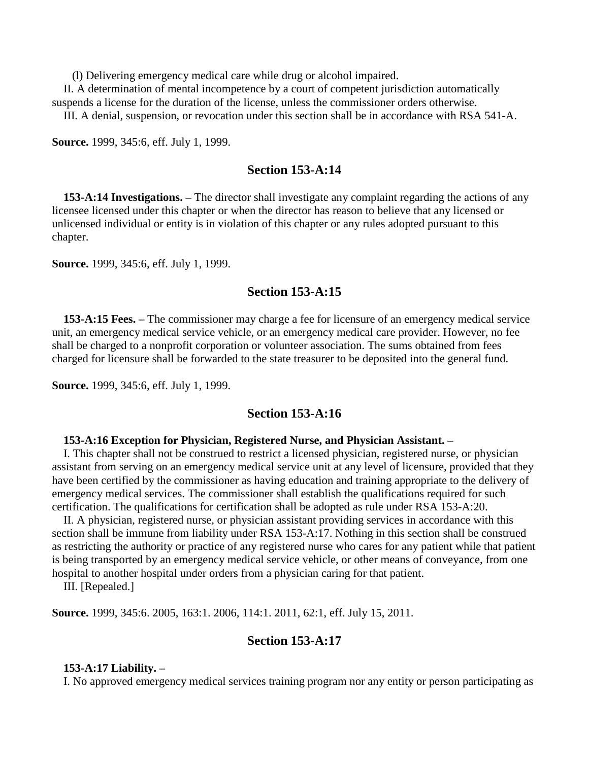(l) Delivering emergency medical care while drug or alcohol impaired.

 II. A determination of mental incompetence by a court of competent jurisdiction automatically suspends a license for the duration of the license, unless the commissioner orders otherwise.

III. A denial, suspension, or revocation under this section shall be in accordance with RSA 541-A.

**Source.** 1999, 345:6, eff. July 1, 1999.

## **Section 153-A:14**

 **153-A:14 Investigations. –** The director shall investigate any complaint regarding the actions of any licensee licensed under this chapter or when the director has reason to believe that any licensed or unlicensed individual or entity is in violation of this chapter or any rules adopted pursuant to this chapter.

**Source.** 1999, 345:6, eff. July 1, 1999.

## **Section 153-A:15**

 **153-A:15 Fees. –** The commissioner may charge a fee for licensure of an emergency medical service unit, an emergency medical service vehicle, or an emergency medical care provider. However, no fee shall be charged to a nonprofit corporation or volunteer association. The sums obtained from fees charged for licensure shall be forwarded to the state treasurer to be deposited into the general fund.

**Source.** 1999, 345:6, eff. July 1, 1999.

## **Section 153-A:16**

#### **153-A:16 Exception for Physician, Registered Nurse, and Physician Assistant. –**

 I. This chapter shall not be construed to restrict a licensed physician, registered nurse, or physician assistant from serving on an emergency medical service unit at any level of licensure, provided that they have been certified by the commissioner as having education and training appropriate to the delivery of emergency medical services. The commissioner shall establish the qualifications required for such certification. The qualifications for certification shall be adopted as rule under RSA 153-A:20.

 II. A physician, registered nurse, or physician assistant providing services in accordance with this section shall be immune from liability under RSA 153-A:17. Nothing in this section shall be construed as restricting the authority or practice of any registered nurse who cares for any patient while that patient is being transported by an emergency medical service vehicle, or other means of conveyance, from one hospital to another hospital under orders from a physician caring for that patient.

III. [Repealed.]

**Source.** 1999, 345:6. 2005, 163:1. 2006, 114:1. 2011, 62:1, eff. July 15, 2011.

## **Section 153-A:17**

#### **153-A:17 Liability. –**

I. No approved emergency medical services training program nor any entity or person participating as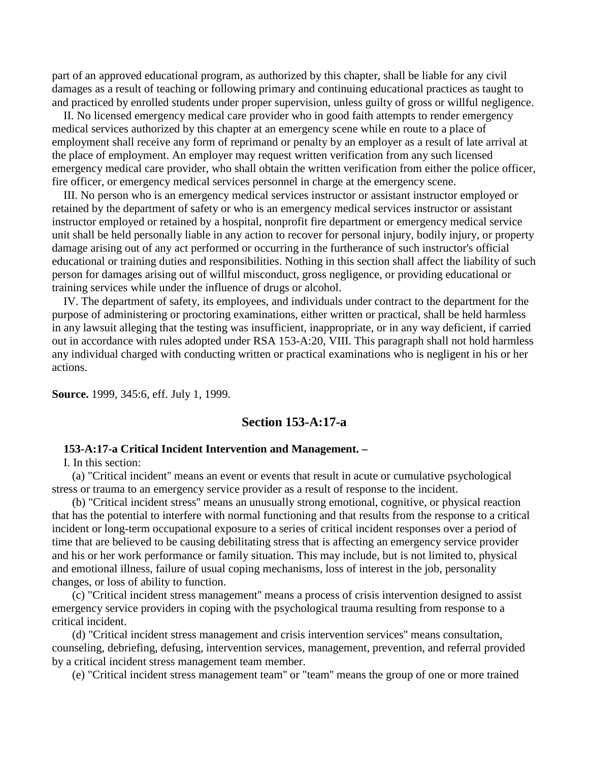part of an approved educational program, as authorized by this chapter, shall be liable for any civil damages as a result of teaching or following primary and continuing educational practices as taught to and practiced by enrolled students under proper supervision, unless guilty of gross or willful negligence.

 II. No licensed emergency medical care provider who in good faith attempts to render emergency medical services authorized by this chapter at an emergency scene while en route to a place of employment shall receive any form of reprimand or penalty by an employer as a result of late arrival at the place of employment. An employer may request written verification from any such licensed emergency medical care provider, who shall obtain the written verification from either the police officer, fire officer, or emergency medical services personnel in charge at the emergency scene.

 III. No person who is an emergency medical services instructor or assistant instructor employed or retained by the department of safety or who is an emergency medical services instructor or assistant instructor employed or retained by a hospital, nonprofit fire department or emergency medical service unit shall be held personally liable in any action to recover for personal injury, bodily injury, or property damage arising out of any act performed or occurring in the furtherance of such instructor's official educational or training duties and responsibilities. Nothing in this section shall affect the liability of such person for damages arising out of willful misconduct, gross negligence, or providing educational or training services while under the influence of drugs or alcohol.

 IV. The department of safety, its employees, and individuals under contract to the department for the purpose of administering or proctoring examinations, either written or practical, shall be held harmless in any lawsuit alleging that the testing was insufficient, inappropriate, or in any way deficient, if carried out in accordance with rules adopted under RSA 153-A:20, VIII. This paragraph shall not hold harmless any individual charged with conducting written or practical examinations who is negligent in his or her actions.

**Source.** 1999, 345:6, eff. July 1, 1999.

## **Section 153-A:17-a**

#### **153-A:17-a Critical Incident Intervention and Management. –**

I. In this section:

 (a) "Critical incident'' means an event or events that result in acute or cumulative psychological stress or trauma to an emergency service provider as a result of response to the incident.

 (b) "Critical incident stress'' means an unusually strong emotional, cognitive, or physical reaction that has the potential to interfere with normal functioning and that results from the response to a critical incident or long-term occupational exposure to a series of critical incident responses over a period of time that are believed to be causing debilitating stress that is affecting an emergency service provider and his or her work performance or family situation. This may include, but is not limited to, physical and emotional illness, failure of usual coping mechanisms, loss of interest in the job, personality changes, or loss of ability to function.

 (c) "Critical incident stress management'' means a process of crisis intervention designed to assist emergency service providers in coping with the psychological trauma resulting from response to a critical incident.

 (d) "Critical incident stress management and crisis intervention services'' means consultation, counseling, debriefing, defusing, intervention services, management, prevention, and referral provided by a critical incident stress management team member.

(e) "Critical incident stress management team'' or "team'' means the group of one or more trained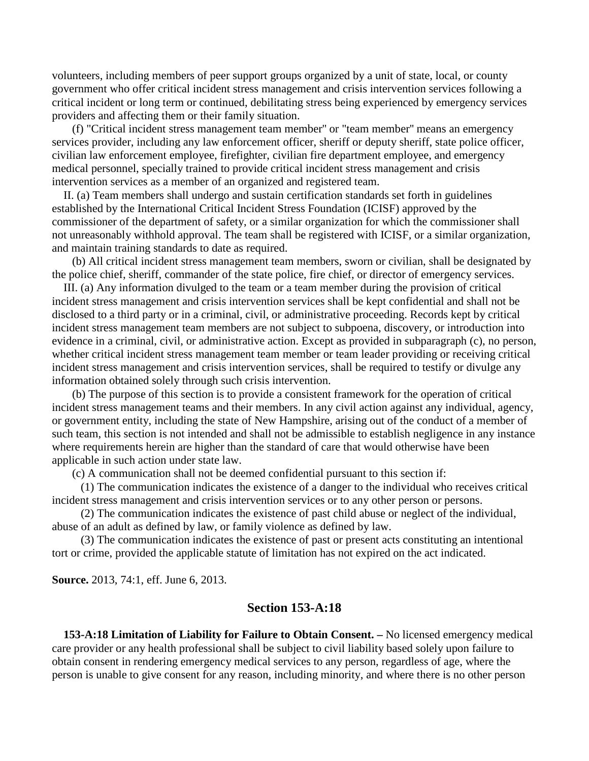volunteers, including members of peer support groups organized by a unit of state, local, or county government who offer critical incident stress management and crisis intervention services following a critical incident or long term or continued, debilitating stress being experienced by emergency services providers and affecting them or their family situation.

 (f) "Critical incident stress management team member'' or "team member'' means an emergency services provider, including any law enforcement officer, sheriff or deputy sheriff, state police officer, civilian law enforcement employee, firefighter, civilian fire department employee, and emergency medical personnel, specially trained to provide critical incident stress management and crisis intervention services as a member of an organized and registered team.

 II. (a) Team members shall undergo and sustain certification standards set forth in guidelines established by the International Critical Incident Stress Foundation (ICISF) approved by the commissioner of the department of safety, or a similar organization for which the commissioner shall not unreasonably withhold approval. The team shall be registered with ICISF, or a similar organization, and maintain training standards to date as required.

 (b) All critical incident stress management team members, sworn or civilian, shall be designated by the police chief, sheriff, commander of the state police, fire chief, or director of emergency services.

 III. (a) Any information divulged to the team or a team member during the provision of critical incident stress management and crisis intervention services shall be kept confidential and shall not be disclosed to a third party or in a criminal, civil, or administrative proceeding. Records kept by critical incident stress management team members are not subject to subpoena, discovery, or introduction into evidence in a criminal, civil, or administrative action. Except as provided in subparagraph (c), no person, whether critical incident stress management team member or team leader providing or receiving critical incident stress management and crisis intervention services, shall be required to testify or divulge any information obtained solely through such crisis intervention.

 (b) The purpose of this section is to provide a consistent framework for the operation of critical incident stress management teams and their members. In any civil action against any individual, agency, or government entity, including the state of New Hampshire, arising out of the conduct of a member of such team, this section is not intended and shall not be admissible to establish negligence in any instance where requirements herein are higher than the standard of care that would otherwise have been applicable in such action under state law.

(c) A communication shall not be deemed confidential pursuant to this section if:

 (1) The communication indicates the existence of a danger to the individual who receives critical incident stress management and crisis intervention services or to any other person or persons.

 (2) The communication indicates the existence of past child abuse or neglect of the individual, abuse of an adult as defined by law, or family violence as defined by law.

 (3) The communication indicates the existence of past or present acts constituting an intentional tort or crime, provided the applicable statute of limitation has not expired on the act indicated.

**Source.** 2013, 74:1, eff. June 6, 2013.

## **Section 153-A:18**

 **153-A:18 Limitation of Liability for Failure to Obtain Consent. –** No licensed emergency medical care provider or any health professional shall be subject to civil liability based solely upon failure to obtain consent in rendering emergency medical services to any person, regardless of age, where the person is unable to give consent for any reason, including minority, and where there is no other person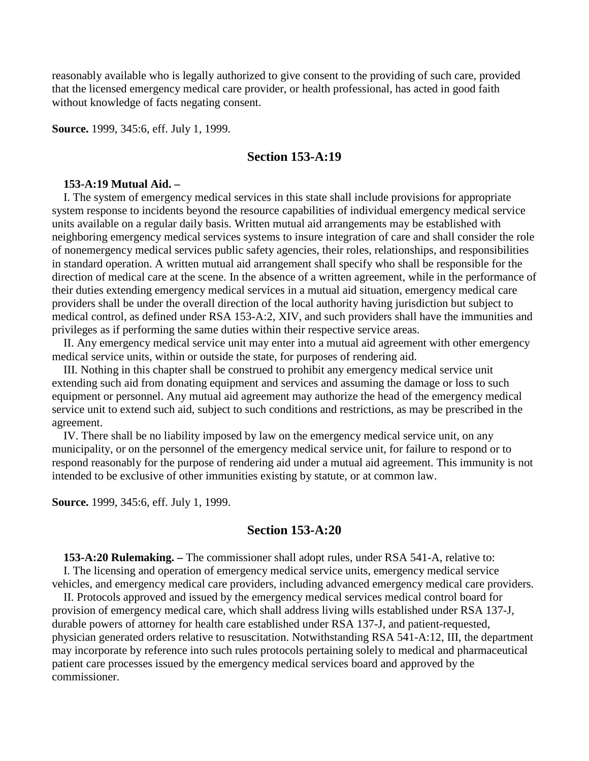reasonably available who is legally authorized to give consent to the providing of such care, provided that the licensed emergency medical care provider, or health professional, has acted in good faith without knowledge of facts negating consent.

**Source.** 1999, 345:6, eff. July 1, 1999.

### **Section 153-A:19**

#### **153-A:19 Mutual Aid. –**

 I. The system of emergency medical services in this state shall include provisions for appropriate system response to incidents beyond the resource capabilities of individual emergency medical service units available on a regular daily basis. Written mutual aid arrangements may be established with neighboring emergency medical services systems to insure integration of care and shall consider the role of nonemergency medical services public safety agencies, their roles, relationships, and responsibilities in standard operation. A written mutual aid arrangement shall specify who shall be responsible for the direction of medical care at the scene. In the absence of a written agreement, while in the performance of their duties extending emergency medical services in a mutual aid situation, emergency medical care providers shall be under the overall direction of the local authority having jurisdiction but subject to medical control, as defined under RSA 153-A:2, XIV, and such providers shall have the immunities and privileges as if performing the same duties within their respective service areas.

 II. Any emergency medical service unit may enter into a mutual aid agreement with other emergency medical service units, within or outside the state, for purposes of rendering aid.

 III. Nothing in this chapter shall be construed to prohibit any emergency medical service unit extending such aid from donating equipment and services and assuming the damage or loss to such equipment or personnel. Any mutual aid agreement may authorize the head of the emergency medical service unit to extend such aid, subject to such conditions and restrictions, as may be prescribed in the agreement.

 IV. There shall be no liability imposed by law on the emergency medical service unit, on any municipality, or on the personnel of the emergency medical service unit, for failure to respond or to respond reasonably for the purpose of rendering aid under a mutual aid agreement. This immunity is not intended to be exclusive of other immunities existing by statute, or at common law.

**Source.** 1999, 345:6, eff. July 1, 1999.

#### **Section 153-A:20**

 **153-A:20 Rulemaking. –** The commissioner shall adopt rules, under RSA 541-A, relative to: I. The licensing and operation of emergency medical service units, emergency medical service vehicles, and emergency medical care providers, including advanced emergency medical care providers.

 II. Protocols approved and issued by the emergency medical services medical control board for provision of emergency medical care, which shall address living wills established under RSA 137-J, durable powers of attorney for health care established under RSA 137-J, and patient-requested, physician generated orders relative to resuscitation. Notwithstanding RSA 541-A:12, III, the department may incorporate by reference into such rules protocols pertaining solely to medical and pharmaceutical patient care processes issued by the emergency medical services board and approved by the commissioner.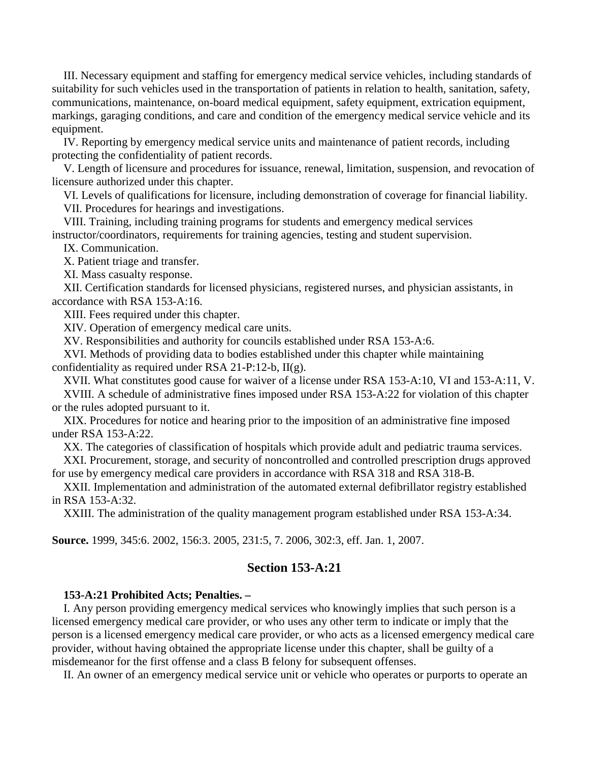III. Necessary equipment and staffing for emergency medical service vehicles, including standards of suitability for such vehicles used in the transportation of patients in relation to health, sanitation, safety, communications, maintenance, on-board medical equipment, safety equipment, extrication equipment, markings, garaging conditions, and care and condition of the emergency medical service vehicle and its equipment.

 IV. Reporting by emergency medical service units and maintenance of patient records, including protecting the confidentiality of patient records.

 V. Length of licensure and procedures for issuance, renewal, limitation, suspension, and revocation of licensure authorized under this chapter.

 VI. Levels of qualifications for licensure, including demonstration of coverage for financial liability. VII. Procedures for hearings and investigations.

 VIII. Training, including training programs for students and emergency medical services instructor/coordinators, requirements for training agencies, testing and student supervision.

IX. Communication.

X. Patient triage and transfer.

XI. Mass casualty response.

 XII. Certification standards for licensed physicians, registered nurses, and physician assistants, in accordance with RSA 153-A:16.

XIII. Fees required under this chapter.

XIV. Operation of emergency medical care units.

XV. Responsibilities and authority for councils established under RSA 153-A:6.

 XVI. Methods of providing data to bodies established under this chapter while maintaining confidentiality as required under RSA 21-P:12-b, II(g).

XVII. What constitutes good cause for waiver of a license under RSA 153-A:10, VI and 153-A:11, V.

 XVIII. A schedule of administrative fines imposed under RSA 153-A:22 for violation of this chapter or the rules adopted pursuant to it.

 XIX. Procedures for notice and hearing prior to the imposition of an administrative fine imposed under RSA 153-A:22.

XX. The categories of classification of hospitals which provide adult and pediatric trauma services.

 XXI. Procurement, storage, and security of noncontrolled and controlled prescription drugs approved for use by emergency medical care providers in accordance with RSA 318 and RSA 318-B.

 XXII. Implementation and administration of the automated external defibrillator registry established in RSA 153-A:32.

XXIII. The administration of the quality management program established under RSA 153-A:34.

**Source.** 1999, 345:6. 2002, 156:3. 2005, 231:5, 7. 2006, 302:3, eff. Jan. 1, 2007.

## **Section 153-A:21**

## **153-A:21 Prohibited Acts; Penalties. –**

 I. Any person providing emergency medical services who knowingly implies that such person is a licensed emergency medical care provider, or who uses any other term to indicate or imply that the person is a licensed emergency medical care provider, or who acts as a licensed emergency medical care provider, without having obtained the appropriate license under this chapter, shall be guilty of a misdemeanor for the first offense and a class B felony for subsequent offenses.

II. An owner of an emergency medical service unit or vehicle who operates or purports to operate an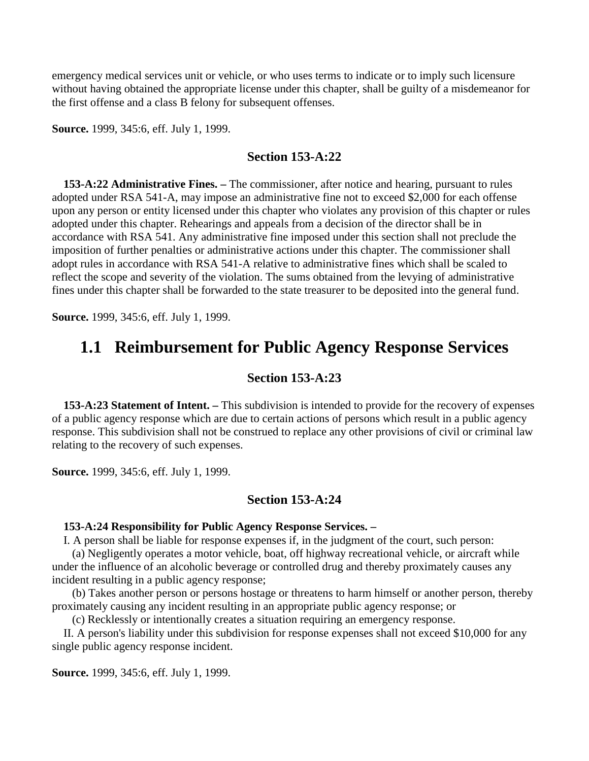emergency medical services unit or vehicle, or who uses terms to indicate or to imply such licensure without having obtained the appropriate license under this chapter, shall be guilty of a misdemeanor for the first offense and a class B felony for subsequent offenses.

**Source.** 1999, 345:6, eff. July 1, 1999.

### **Section 153-A:22**

 **153-A:22 Administrative Fines. –** The commissioner, after notice and hearing, pursuant to rules adopted under RSA 541-A, may impose an administrative fine not to exceed \$2,000 for each offense upon any person or entity licensed under this chapter who violates any provision of this chapter or rules adopted under this chapter. Rehearings and appeals from a decision of the director shall be in accordance with RSA 541. Any administrative fine imposed under this section shall not preclude the imposition of further penalties or administrative actions under this chapter. The commissioner shall adopt rules in accordance with RSA 541-A relative to administrative fines which shall be scaled to reflect the scope and severity of the violation. The sums obtained from the levying of administrative fines under this chapter shall be forwarded to the state treasurer to be deposited into the general fund.

**Source.** 1999, 345:6, eff. July 1, 1999.

## **1.1 Reimbursement for Public Agency Response Services**

## **Section 153-A:23**

 **153-A:23 Statement of Intent. –** This subdivision is intended to provide for the recovery of expenses of a public agency response which are due to certain actions of persons which result in a public agency response. This subdivision shall not be construed to replace any other provisions of civil or criminal law relating to the recovery of such expenses.

**Source.** 1999, 345:6, eff. July 1, 1999.

## **Section 153-A:24**

#### **153-A:24 Responsibility for Public Agency Response Services. –**

I. A person shall be liable for response expenses if, in the judgment of the court, such person:

 (a) Negligently operates a motor vehicle, boat, off highway recreational vehicle, or aircraft while under the influence of an alcoholic beverage or controlled drug and thereby proximately causes any incident resulting in a public agency response;

 (b) Takes another person or persons hostage or threatens to harm himself or another person, thereby proximately causing any incident resulting in an appropriate public agency response; or

(c) Recklessly or intentionally creates a situation requiring an emergency response.

 II. A person's liability under this subdivision for response expenses shall not exceed \$10,000 for any single public agency response incident.

**Source.** 1999, 345:6, eff. July 1, 1999.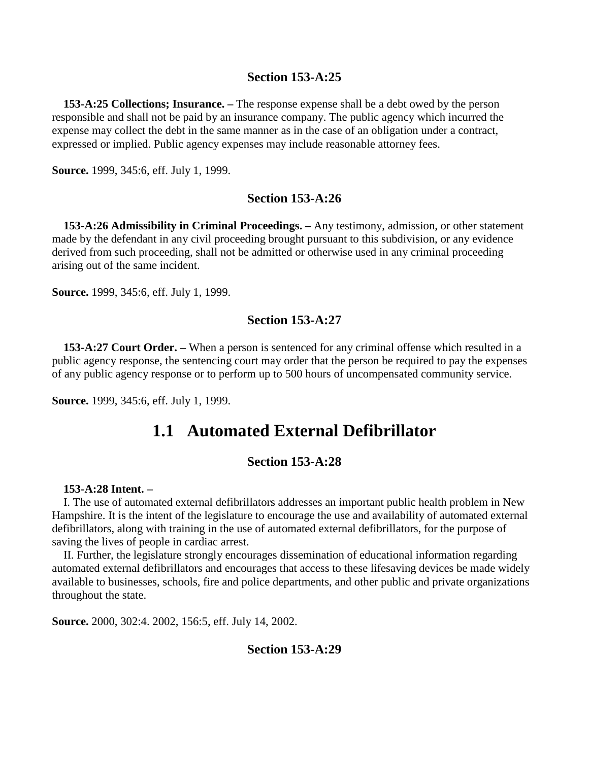## **Section 153-A:25**

 **153-A:25 Collections; Insurance. –** The response expense shall be a debt owed by the person responsible and shall not be paid by an insurance company. The public agency which incurred the expense may collect the debt in the same manner as in the case of an obligation under a contract, expressed or implied. Public agency expenses may include reasonable attorney fees.

**Source.** 1999, 345:6, eff. July 1, 1999.

## **Section 153-A:26**

 **153-A:26 Admissibility in Criminal Proceedings. –** Any testimony, admission, or other statement made by the defendant in any civil proceeding brought pursuant to this subdivision, or any evidence derived from such proceeding, shall not be admitted or otherwise used in any criminal proceeding arising out of the same incident.

**Source.** 1999, 345:6, eff. July 1, 1999.

#### **Section 153-A:27**

 **153-A:27 Court Order. –** When a person is sentenced for any criminal offense which resulted in a public agency response, the sentencing court may order that the person be required to pay the expenses of any public agency response or to perform up to 500 hours of uncompensated community service.

**Source.** 1999, 345:6, eff. July 1, 1999.

## **1.1 Automated External Defibrillator**

## **Section 153-A:28**

#### **153-A:28 Intent. –**

 I. The use of automated external defibrillators addresses an important public health problem in New Hampshire. It is the intent of the legislature to encourage the use and availability of automated external defibrillators, along with training in the use of automated external defibrillators, for the purpose of saving the lives of people in cardiac arrest.

 II. Further, the legislature strongly encourages dissemination of educational information regarding automated external defibrillators and encourages that access to these lifesaving devices be made widely available to businesses, schools, fire and police departments, and other public and private organizations throughout the state.

**Source.** 2000, 302:4. 2002, 156:5, eff. July 14, 2002.

## **Section 153-A:29**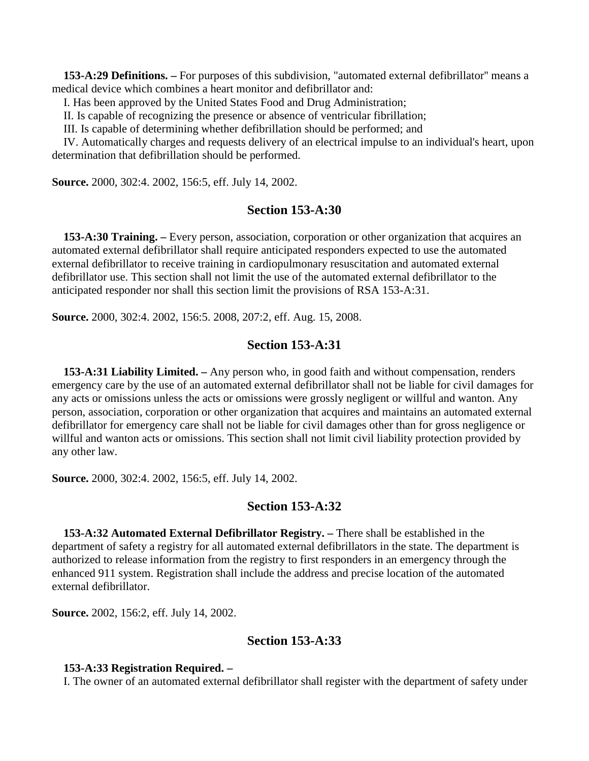**153-A:29 Definitions. –** For purposes of this subdivision, "automated external defibrillator'' means a medical device which combines a heart monitor and defibrillator and:

I. Has been approved by the United States Food and Drug Administration;

II. Is capable of recognizing the presence or absence of ventricular fibrillation;

III. Is capable of determining whether defibrillation should be performed; and

 IV. Automatically charges and requests delivery of an electrical impulse to an individual's heart, upon determination that defibrillation should be performed.

**Source.** 2000, 302:4. 2002, 156:5, eff. July 14, 2002.

## **Section 153-A:30**

 **153-A:30 Training. –** Every person, association, corporation or other organization that acquires an automated external defibrillator shall require anticipated responders expected to use the automated external defibrillator to receive training in cardiopulmonary resuscitation and automated external defibrillator use. This section shall not limit the use of the automated external defibrillator to the anticipated responder nor shall this section limit the provisions of RSA 153-A:31.

**Source.** 2000, 302:4. 2002, 156:5. 2008, 207:2, eff. Aug. 15, 2008.

## **Section 153-A:31**

 **153-A:31 Liability Limited. –** Any person who, in good faith and without compensation, renders emergency care by the use of an automated external defibrillator shall not be liable for civil damages for any acts or omissions unless the acts or omissions were grossly negligent or willful and wanton. Any person, association, corporation or other organization that acquires and maintains an automated external defibrillator for emergency care shall not be liable for civil damages other than for gross negligence or willful and wanton acts or omissions. This section shall not limit civil liability protection provided by any other law.

**Source.** 2000, 302:4. 2002, 156:5, eff. July 14, 2002.

#### **Section 153-A:32**

 **153-A:32 Automated External Defibrillator Registry. –** There shall be established in the department of safety a registry for all automated external defibrillators in the state. The department is authorized to release information from the registry to first responders in an emergency through the enhanced 911 system. Registration shall include the address and precise location of the automated external defibrillator.

**Source.** 2002, 156:2, eff. July 14, 2002.

## **Section 153-A:33**

#### **153-A:33 Registration Required. –**

I. The owner of an automated external defibrillator shall register with the department of safety under